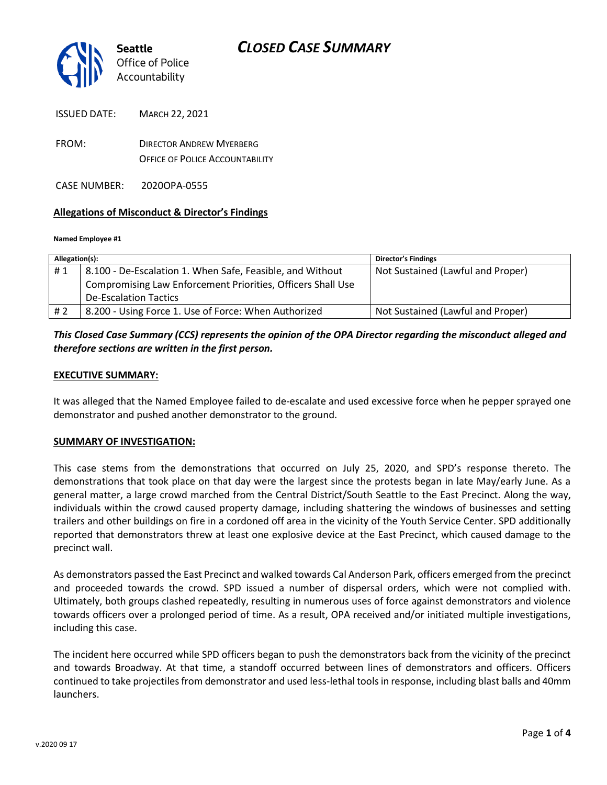

ISSUED DATE: MARCH 22, 2021

FROM: DIRECTOR ANDREW MYERBERG OFFICE OF POLICE ACCOUNTABILITY

CASE NUMBER: 2020OPA-0555

#### **Allegations of Misconduct & Director's Findings**

#### **Named Employee #1**

| Allegation(s): |                                                             | Director's Findings               |
|----------------|-------------------------------------------------------------|-----------------------------------|
| #1             | 8.100 - De-Escalation 1. When Safe, Feasible, and Without   | Not Sustained (Lawful and Proper) |
|                | Compromising Law Enforcement Priorities, Officers Shall Use |                                   |
|                | <b>De-Escalation Tactics</b>                                |                                   |
| # 2            | 8.200 - Using Force 1. Use of Force: When Authorized        | Not Sustained (Lawful and Proper) |

### *This Closed Case Summary (CCS) represents the opinion of the OPA Director regarding the misconduct alleged and therefore sections are written in the first person.*

#### **EXECUTIVE SUMMARY:**

It was alleged that the Named Employee failed to de-escalate and used excessive force when he pepper sprayed one demonstrator and pushed another demonstrator to the ground.

#### **SUMMARY OF INVESTIGATION:**

This case stems from the demonstrations that occurred on July 25, 2020, and SPD's response thereto. The demonstrations that took place on that day were the largest since the protests began in late May/early June. As a general matter, a large crowd marched from the Central District/South Seattle to the East Precinct. Along the way, individuals within the crowd caused property damage, including shattering the windows of businesses and setting trailers and other buildings on fire in a cordoned off area in the vicinity of the Youth Service Center. SPD additionally reported that demonstrators threw at least one explosive device at the East Precinct, which caused damage to the precinct wall.

As demonstrators passed the East Precinct and walked towards Cal Anderson Park, officers emerged from the precinct and proceeded towards the crowd. SPD issued a number of dispersal orders, which were not complied with. Ultimately, both groups clashed repeatedly, resulting in numerous uses of force against demonstrators and violence towards officers over a prolonged period of time. As a result, OPA received and/or initiated multiple investigations, including this case.

The incident here occurred while SPD officers began to push the demonstrators back from the vicinity of the precinct and towards Broadway. At that time, a standoff occurred between lines of demonstrators and officers. Officers continued to take projectiles from demonstrator and used less-lethal tools in response, including blast balls and 40mm launchers.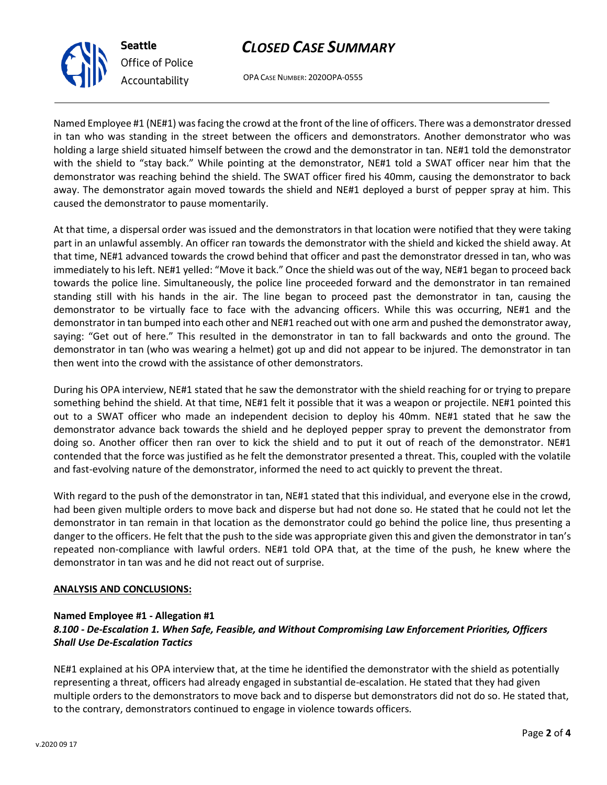# *CLOSED CASE SUMMARY*

OPA CASE NUMBER: 2020OPA-0555

Named Employee #1 (NE#1) was facing the crowd at the front of the line of officers. There was a demonstrator dressed in tan who was standing in the street between the officers and demonstrators. Another demonstrator who was holding a large shield situated himself between the crowd and the demonstrator in tan. NE#1 told the demonstrator with the shield to "stay back." While pointing at the demonstrator, NE#1 told a SWAT officer near him that the demonstrator was reaching behind the shield. The SWAT officer fired his 40mm, causing the demonstrator to back away. The demonstrator again moved towards the shield and NE#1 deployed a burst of pepper spray at him. This caused the demonstrator to pause momentarily.

At that time, a dispersal order was issued and the demonstrators in that location were notified that they were taking part in an unlawful assembly. An officer ran towards the demonstrator with the shield and kicked the shield away. At that time, NE#1 advanced towards the crowd behind that officer and past the demonstrator dressed in tan, who was immediately to his left. NE#1 yelled: "Move it back." Once the shield was out of the way, NE#1 began to proceed back towards the police line. Simultaneously, the police line proceeded forward and the demonstrator in tan remained standing still with his hands in the air. The line began to proceed past the demonstrator in tan, causing the demonstrator to be virtually face to face with the advancing officers. While this was occurring, NE#1 and the demonstrator in tan bumped into each other and NE#1 reached out with one arm and pushed the demonstrator away, saying: "Get out of here." This resulted in the demonstrator in tan to fall backwards and onto the ground. The demonstrator in tan (who was wearing a helmet) got up and did not appear to be injured. The demonstrator in tan then went into the crowd with the assistance of other demonstrators.

During his OPA interview, NE#1 stated that he saw the demonstrator with the shield reaching for or trying to prepare something behind the shield. At that time, NE#1 felt it possible that it was a weapon or projectile. NE#1 pointed this out to a SWAT officer who made an independent decision to deploy his 40mm. NE#1 stated that he saw the demonstrator advance back towards the shield and he deployed pepper spray to prevent the demonstrator from doing so. Another officer then ran over to kick the shield and to put it out of reach of the demonstrator. NE#1 contended that the force was justified as he felt the demonstrator presented a threat. This, coupled with the volatile and fast-evolving nature of the demonstrator, informed the need to act quickly to prevent the threat.

With regard to the push of the demonstrator in tan, NE#1 stated that this individual, and everyone else in the crowd, had been given multiple orders to move back and disperse but had not done so. He stated that he could not let the demonstrator in tan remain in that location as the demonstrator could go behind the police line, thus presenting a danger to the officers. He felt that the push to the side was appropriate given this and given the demonstrator in tan's repeated non-compliance with lawful orders. NE#1 told OPA that, at the time of the push, he knew where the demonstrator in tan was and he did not react out of surprise.

#### **ANALYSIS AND CONCLUSIONS:**

### **Named Employee #1 - Allegation #1** *8.100 - De-Escalation 1. When Safe, Feasible, and Without Compromising Law Enforcement Priorities, Officers Shall Use De-Escalation Tactics*

NE#1 explained at his OPA interview that, at the time he identified the demonstrator with the shield as potentially representing a threat, officers had already engaged in substantial de-escalation. He stated that they had given multiple orders to the demonstrators to move back and to disperse but demonstrators did not do so. He stated that, to the contrary, demonstrators continued to engage in violence towards officers.



**Seattle**

*Office of Police Accountability*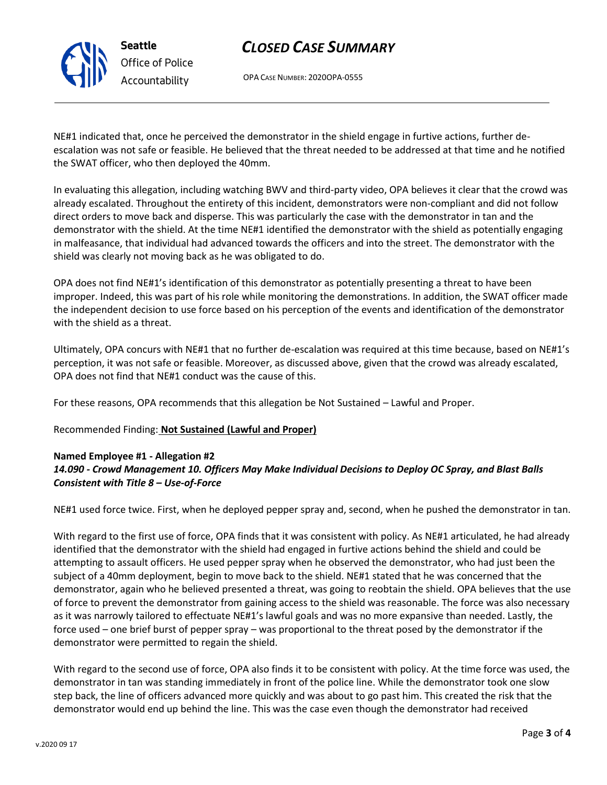# *CLOSED CASE SUMMARY*



OPA CASE NUMBER: 2020OPA-0555

NE#1 indicated that, once he perceived the demonstrator in the shield engage in furtive actions, further deescalation was not safe or feasible. He believed that the threat needed to be addressed at that time and he notified the SWAT officer, who then deployed the 40mm.

In evaluating this allegation, including watching BWV and third-party video, OPA believes it clear that the crowd was already escalated. Throughout the entirety of this incident, demonstrators were non-compliant and did not follow direct orders to move back and disperse. This was particularly the case with the demonstrator in tan and the demonstrator with the shield. At the time NE#1 identified the demonstrator with the shield as potentially engaging in malfeasance, that individual had advanced towards the officers and into the street. The demonstrator with the shield was clearly not moving back as he was obligated to do.

OPA does not find NE#1's identification of this demonstrator as potentially presenting a threat to have been improper. Indeed, this was part of his role while monitoring the demonstrations. In addition, the SWAT officer made the independent decision to use force based on his perception of the events and identification of the demonstrator with the shield as a threat.

Ultimately, OPA concurs with NE#1 that no further de-escalation was required at this time because, based on NE#1's perception, it was not safe or feasible. Moreover, as discussed above, given that the crowd was already escalated, OPA does not find that NE#1 conduct was the cause of this.

For these reasons, OPA recommends that this allegation be Not Sustained – Lawful and Proper.

Recommended Finding: **Not Sustained (Lawful and Proper)**

#### **Named Employee #1 - Allegation #2**

### *14.090 - Crowd Management 10. Officers May Make Individual Decisions to Deploy OC Spray, and Blast Balls Consistent with Title 8 – Use-of-Force*

NE#1 used force twice. First, when he deployed pepper spray and, second, when he pushed the demonstrator in tan.

With regard to the first use of force, OPA finds that it was consistent with policy. As NE#1 articulated, he had already identified that the demonstrator with the shield had engaged in furtive actions behind the shield and could be attempting to assault officers. He used pepper spray when he observed the demonstrator, who had just been the subject of a 40mm deployment, begin to move back to the shield. NE#1 stated that he was concerned that the demonstrator, again who he believed presented a threat, was going to reobtain the shield. OPA believes that the use of force to prevent the demonstrator from gaining access to the shield was reasonable. The force was also necessary as it was narrowly tailored to effectuate NE#1's lawful goals and was no more expansive than needed. Lastly, the force used – one brief burst of pepper spray – was proportional to the threat posed by the demonstrator if the demonstrator were permitted to regain the shield.

With regard to the second use of force, OPA also finds it to be consistent with policy. At the time force was used, the demonstrator in tan was standing immediately in front of the police line. While the demonstrator took one slow step back, the line of officers advanced more quickly and was about to go past him. This created the risk that the demonstrator would end up behind the line. This was the case even though the demonstrator had received